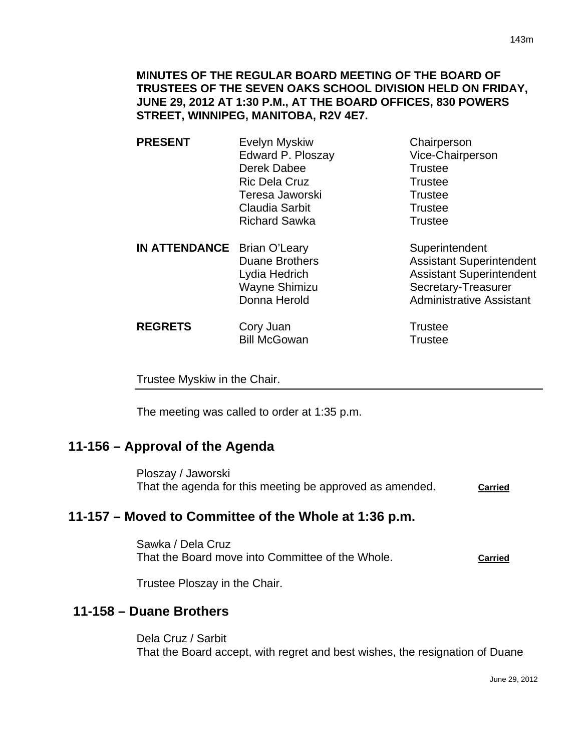**MINUTES OF THE REGULAR BOARD MEETING OF THE BOARD OF TRUSTEES OF THE SEVEN OAKS SCHOOL DIVISION HELD ON FRIDAY, JUNE 29, 2012 AT 1:30 P.M., AT THE BOARD OFFICES, 830 POWERS STREET, WINNIPEG, MANITOBA, R2V 4E7.** 

- **PRESENT** Evelyn Myskiw Chairperson Edward P. Ploszay Vice-Chairperson Derek Dabee Trustee Ric Dela Cruz **Trustee** Teresa Jaworski **Trustee** Claudia Sarbit **Trustee** Richard Sawka Trustee
- **IN ATTENDANCE** Brian O'Leary Superintendent Duane Brothers **Assistant Superintendent** Lydia Hedrich **Assistant Superintendent** Wayne Shimizu Secretary-Treasurer Donna Herold **Administrative Assistant**

| <b>REGRETS</b> | Cory Juan           | Trustee |
|----------------|---------------------|---------|
|                | <b>Bill McGowan</b> | Trustee |

Trustee Myskiw in the Chair.

The meeting was called to order at 1:35 p.m.

# **11-156 – Approval of the Agenda**

Ploszay / Jaworski That the agenda for this meeting be approved as amended. **Carried** 

# **11-157 – Moved to Committee of the Whole at 1:36 p.m.**

Sawka / Dela Cruz That the Board move into Committee of the Whole. **Carried**

Trustee Ploszay in the Chair.

# **11-158 – Duane Brothers**

Dela Cruz / Sarbit That the Board accept, with regret and best wishes, the resignation of Duane